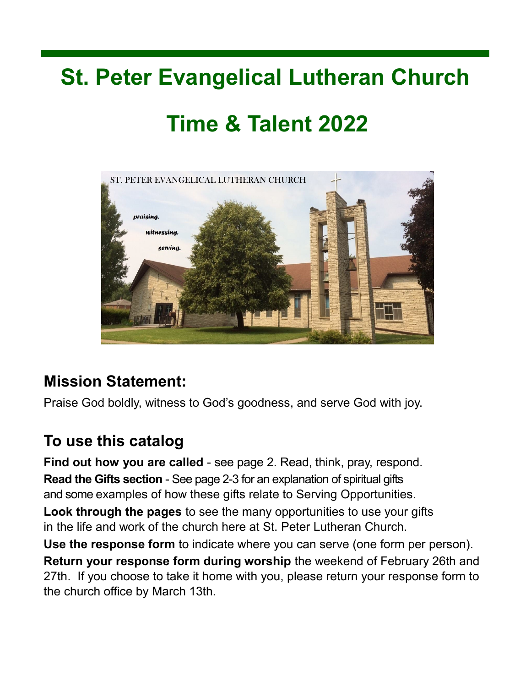### **St. Peter Evangelical Lutheran Church**

### **Time & Talent 2022**



### **Mission Statement:**

Praise God boldly, witness to God's goodness, and serve God with joy.

### **To use this catalog**

**Find out how you are called** - see page 2. Read, think, pray, respond. **Read the Gifts section** - See page 2-3 for an explanation of spiritual gifts and some examples of how these gifts relate to Serving Opportunities. **Look through the pages** to see the many opportunities to use your gifts in the life and work of the church here at St. Peter Lutheran Church.

**Use the response form** to indicate where you can serve (one form per person). **Return your response form during worship** the weekend of February 26th and 27th. If you choose to take it home with you, please return your response form to the church office by March 13th.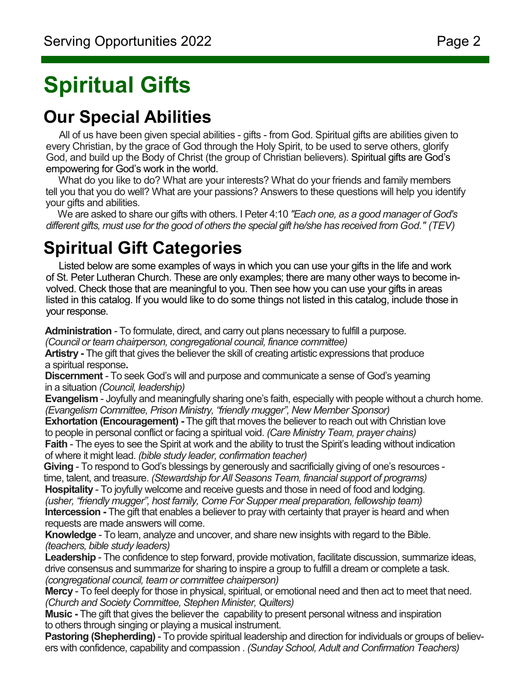# **Spiritual Gifts**

### **Our Special Abilities**

 All of us have been given special abilities - gifts - from God. Spiritual gifts are abilities given to every Christian, by the grace of God through the Holy Spirit, to be used to serve others, glorify God, and build up the Body of Christ (the group of Christian believers). Spiritual gifts are God's empowering for God's work in the world.

 What do you like to do? What are your interests? What do your friends and family members tell you that you do well? What are your passions? Answers to these questions will help you identify your gifts and abilities.

 We are asked to share our gifts with others. I Peter 4:10 *"Each one, as a good manager of God's different gifts, must use for the good of others the special gift he/she has received from God." (TEV)*

### **Spiritual Gift Categories**

 Listed below are some examples of ways in which you can use your gifts in the life and work of St. Peter Lutheran Church. These are only examples; there are many other ways to become involved. Check those that are meaningful to you. Then see how you can use your gifts in areas listed in this catalog. If you would like to do some things not listed in this catalog, include those in your response.

**Administration** - To formulate, direct, and carry out plans necessary to fulfill a purpose.

*(Council or team chairperson, congregational council, finance committee)*

**Artistry -** The gift that gives the believer the skill of creating artistic expressions that produce a spiritual response**.**

**Discernment** - To seek God's will and purpose and communicate a sense of God's yearning in a situation *(Council, leadership)*

**Evangelism** - Joyfully and meaningfully sharing one's faith, especially with people without a church home. *(Evangelism Committee, Prison Ministry, "friendly mugger", New Member Sponsor)*

**Exhortation (Encouragement) -** The gift that moves the believer to reach out with Christian love to people in personal conflict or facing a spiritual void. *(Care Ministry Team, prayer chains)* **Faith** - The eyes to see the Spirit at work and the ability to trust the Spirit's leading without indication of where it might lead. *(bible study leader, confirmation teacher)*

**Giving** - To respond to God's blessings by generously and sacrificially giving of one's resources time, talent, and treasure. *(Stewardship for All Seasons Team, financial support of programs)* **Hospitality** - To joyfully welcome and receive guests and those in need of food and lodging.

*(usher, "friendly mugger", host family, Come For Supper meal preparation, fellowship team)* **Intercession -** The gift that enables a believer to pray with certainty that prayer is heard and when requests are made answers will come.

**Knowledge** - To learn, analyze and uncover, and share new insights with regard to the Bible. *(teachers, bible study leaders)*

**Leadership** - The confidence to step forward, provide motivation, facilitate discussion, summarize ideas, drive consensus and summarize for sharing to inspire a group to fulfill a dream or complete a task. *(congregational council, team or committee chairperson)*

**Mercy** - To feel deeply for those in physical, spiritual, or emotional need and then act to meet that need. *(Church and Society Committee, Stephen Minister, Quilters)*

**Music -** The gift that gives the believer the capability to present personal witness and inspiration to others through singing or playing a musical instrument.

**Pastoring (Shepherding)** - To provide spiritual leadership and direction for individuals or groups of believers with confidence, capability and compassion . *(Sunday School, Adult and Confirmation Teachers)*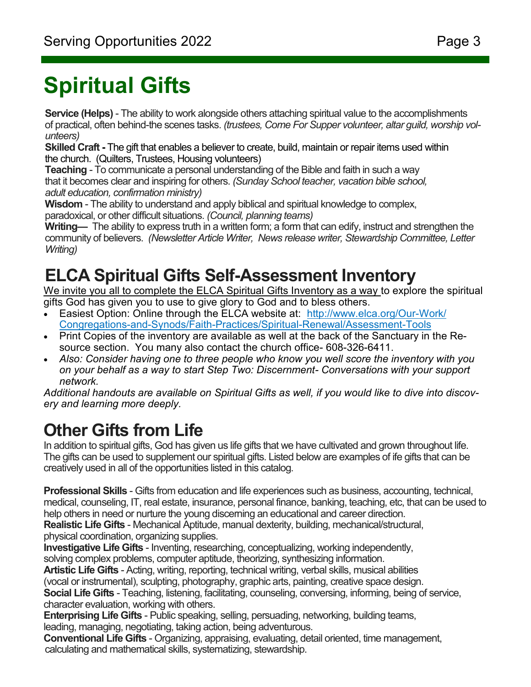# **Spiritual Gifts**

**Service (Helps)** - The ability to work alongside others attaching spiritual value to the accomplishments of practical, often behind-the scenes tasks. *(trustees, Come For Supper volunteer, altar guild, worship volunteers)*

**Skilled Craft -** The gift that enables a believer to create, build, maintain or repair items used within the church. (Quilters, Trustees, Housing volunteers)

**Teaching** - To communicate a personal understanding of the Bible and faith in such a way that it becomes clear and inspiring for others. *(Sunday School teacher, vacation bible school, adult education, confirmation ministry)*

**Wisdom** - The ability to understand and apply biblical and spiritual knowledge to complex,

paradoxical, or other difficult situations. *(Council, planning teams)*

**Writing—** The ability to express truth in a written form; a form that can edify, instruct and strengthen the community of believers. *(Newsletter Article Writer, News release writer, Stewardship Committee, Letter Writing)*

### **ELCA Spiritual Gifts Self-Assessment Inventory**

We invite you all to complete the ELCA Spiritual Gifts Inventory as a way to explore the spiritual gifts God has given you to use to give glory to God and to bless others.

- Easiest Option: Online through the ELCA website at: [http://www.elca.org/Our](http://www.elca.org/Our-Work/Congregations-and-Synods/Faith-Practices/Spiritual-Renewal/Assessment-Tools)-Work/ Congregations-and-Synods/Faith-Practices/Spiritual-[Renewal/Assessment](http://www.elca.org/Our-Work/Congregations-and-Synods/Faith-Practices/Spiritual-Renewal/Assessment-Tools)-Tools
- Print Copies of the inventory are available as well at the back of the Sanctuary in the Resource section. You many also contact the church office- 608-326-6411.
- *Also: Consider having one to three people who know you well score the inventory with you on your behalf as a way to start Step Two: Discernment- Conversations with your support network.*

*Additional handouts are available on Spiritual Gifts as well, if you would like to dive into discovery and learning more deeply.*

### **Other Gifts from Life**

In addition to spiritual gifts, God has given us life gifts that we have cultivated and grown throughout life. The gifts can be used to supplement our spiritual gifts. Listed below are examples of ife gifts that can be creatively used in all of the opportunities listed in this catalog.

**Professional Skills** - Gifts from education and life experiences such as business, accounting, technical, medical, counseling, IT, real estate, insurance, personal finance, banking, teaching, etc, that can be used to help others in need or nurture the young discerning an educational and career direction.

**Realistic Life Gifts** - Mechanical Aptitude, manual dexterity, building, mechanical/structural, physical coordination, organizing supplies.

**Investigative Life Gifts** - Inventing, researching, conceptualizing, working independently, solving complex problems, computer aptitude, theorizing, synthesizing information.

**Artistic Life Gifts** - Acting, writing, reporting, technical writing, verbal skills, musical abilities

(vocal or instrumental), sculpting, photography, graphic arts, painting, creative space design.

**Social Life Gifts** - Teaching, listening, facilitating, counseling, conversing, informing, being of service, character evaluation, working with others.

**Enterprising Life Gifts** - Public speaking, selling, persuading, networking, building teams,

leading, managing, negotiating, taking action, being adventurous.

**Conventional Life Gifts** - Organizing, appraising, evaluating, detail oriented, time management, calculating and mathematical skills, systematizing, stewardship.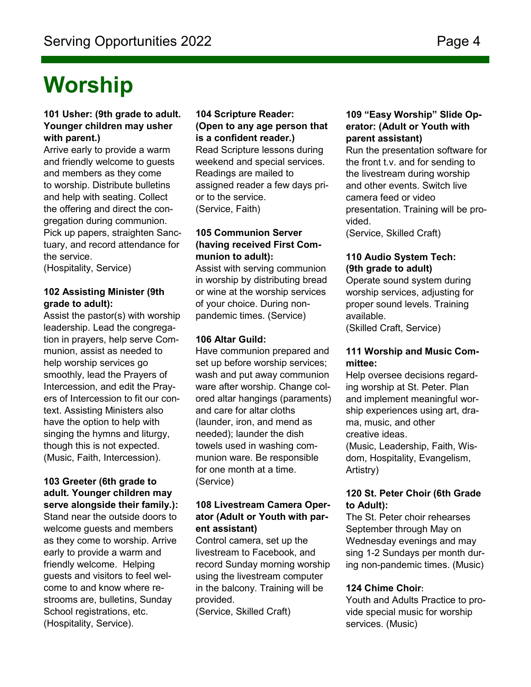### **Worship**

#### **101 Usher: (9th grade to adult. Younger children may usher with parent.)**

Arrive early to provide a warm and friendly welcome to guests and members as they come to worship. Distribute bulletins and help with seating. Collect the offering and direct the congregation during communion. Pick up papers, straighten Sanctuary, and record attendance for the service.

(Hospitality, Service)

#### **102 Assisting Minister (9th grade to adult):**

Assist the pastor(s) with worship leadership. Lead the congregation in prayers, help serve Communion, assist as needed to help worship services go smoothly, lead the Prayers of Intercession, and edit the Prayers of Intercession to fit our context. Assisting Ministers also have the option to help with singing the hymns and liturgy, though this is not expected. (Music, Faith, Intercession).

#### **103 Greeter (6th grade to adult. Younger children may serve alongside their family.):** Stand near the outside doors to welcome guests and members

as they come to worship. Arrive early to provide a warm and friendly welcome. Helping guests and visitors to feel welcome to and know where restrooms are, bulletins, Sunday School registrations, etc. (Hospitality, Service).

#### **104 Scripture Reader: (Open to any age person that is a confident reader.)**

Read Scripture lessons during weekend and special services. Readings are mailed to assigned reader a few days prior to the service. (Service, Faith)

#### **105 Communion Server (having received First Communion to adult):**

Assist with serving communion in worship by distributing bread or wine at the worship services of your choice. During nonpandemic times. (Service)

#### **106 Altar Guild:**

Have communion prepared and set up before worship services; wash and put away communion ware after worship. Change colored altar hangings (paraments) and care for altar cloths (launder, iron, and mend as needed); launder the dish towels used in washing communion ware. Be responsible for one month at a time. (Service)

#### **108 Livestream Camera Operator (Adult or Youth with parent assistant)**

Control camera, set up the livestream to Facebook, and record Sunday morning worship using the livestream computer in the balcony. Training will be provided.

(Service, Skilled Craft)

#### **109 "Easy Worship" Slide Operator: (Adult or Youth with parent assistant)**

Run the presentation software for the front t.v. and for sending to the livestream during worship and other events. Switch live camera feed or video presentation. Training will be provided.

(Service, Skilled Craft)

#### **110 Audio System Tech: (9th grade to adult)**

Operate sound system during worship services, adjusting for proper sound levels. Training available. (Skilled Craft, Service)

#### **111 Worship and Music Committee:**

Help oversee decisions regarding worship at St. Peter. Plan and implement meaningful worship experiences using art, drama, music, and other creative ideas. (Music, Leadership, Faith, Wisdom, Hospitality, Evangelism, Artistry)

#### **120 St. Peter Choir (6th Grade to Adult):**

The St. Peter choir rehearses September through May on Wednesday evenings and may sing 1-2 Sundays per month during non-pandemic times. (Music)

#### **124 Chime Choir:**

Youth and Adults Practice to provide special music for worship services. (Music)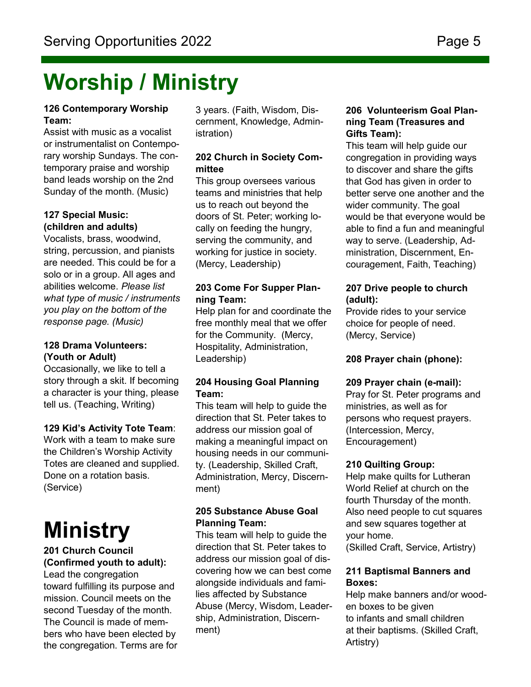### **Worship / Ministry**

#### **126 Contemporary Worship Team:**

Assist with music as a vocalist or instrumentalist on Contemporary worship Sundays. The contemporary praise and worship band leads worship on the 2nd Sunday of the month. (Music)

#### **127 Special Music: (children and adults)**

Vocalists, brass, woodwind, string, percussion, and pianists are needed. This could be for a solo or in a group. All ages and abilities welcome. *Please list what type of music / instruments you play on the bottom of the response page. (Music)*

#### **128 Drama Volunteers: (Youth or Adult)**

Occasionally, we like to tell a story through a skit. If becoming a character is your thing, please tell us. (Teaching, Writing)

#### **129 Kid's Activity Tote Team**:

Work with a team to make sure the Children's Worship Activity Totes are cleaned and supplied. Done on a rotation basis. (Service)

# **Ministry**

#### **201 Church Council (Confirmed youth to adult):**

Lead the congregation toward fulfilling its purpose and mission. Council meets on the second Tuesday of the month. The Council is made of members who have been elected by the congregation. Terms are for 3 years. (Faith, Wisdom, Discernment, Knowledge, Administration)

#### **202 Church in Society Committee**

This group oversees various teams and ministries that help us to reach out beyond the doors of St. Peter; working locally on feeding the hungry, serving the community, and working for justice in society. (Mercy, Leadership)

#### **203 Come For Supper Planning Team:**

Help plan for and coordinate the free monthly meal that we offer for the Community. (Mercy, Hospitality, Administration, Leadership)

#### **204 Housing Goal Planning Team:**

This team will help to guide the direction that St. Peter takes to address our mission goal of making a meaningful impact on housing needs in our community. (Leadership, Skilled Craft, Administration, Mercy, Discernment)

#### **205 Substance Abuse Goal Planning Team:**

This team will help to guide the direction that St. Peter takes to address our mission goal of discovering how we can best come alongside individuals and families affected by Substance Abuse (Mercy, Wisdom, Leadership, Administration, Discernment)

#### **206 Volunteerism Goal Planning Team (Treasures and Gifts Team):**

This team will help guide our congregation in providing ways to discover and share the gifts that God has given in order to better serve one another and the wider community. The goal would be that everyone would be able to find a fun and meaningful way to serve. (Leadership, Administration, Discernment, Encouragement, Faith, Teaching)

#### **207 Drive people to church (adult):**

Provide rides to your service choice for people of need. (Mercy, Service)

#### **208 Prayer chain (phone):**

#### **209 Prayer chain (e-mail):**

Pray for St. Peter programs and ministries, as well as for persons who request prayers. (Intercession, Mercy, Encouragement)

#### **210 Quilting Group:**

Help make quilts for Lutheran World Relief at church on the fourth Thursday of the month. Also need people to cut squares and sew squares together at your home. (Skilled Craft, Service, Artistry)

#### **211 Baptismal Banners and Boxes:**

Help make banners and/or wooden boxes to be given to infants and small children at their baptisms. (Skilled Craft, Artistry)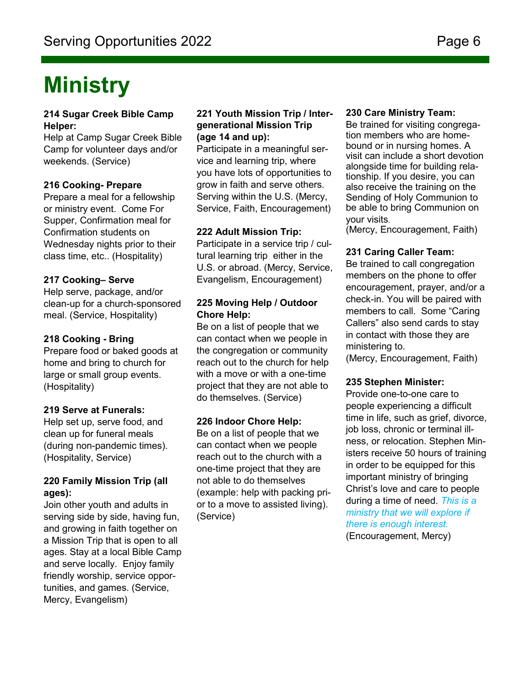### **Ministry**

#### **214 Sugar Creek Bible Camp Helper:**

Help at Camp Sugar Creek Bible Camp for volunteer days and/or weekends. (Service)

#### **216 Cooking- Prepare**

Prepare a meal for a fellowship or ministry event. Come For Supper, Confirmation meal for Confirmation students on Wednesday nights prior to their class time, etc.. (Hospitality)

#### **217 Cooking– Serve**

Help serve, package, and/or clean-up for a church-sponsored meal. (Service, Hospitality)

#### **218 Cooking - Bring**

Prepare food or baked goods at home and bring to church for large or small group events. (Hospitality)

#### **219 Serve at Funerals:**

Help set up, serve food, and clean up for funeral meals (during non-pandemic times). (Hospitality, Service)

#### **220 Family Mission Trip (all ages):**

Join other youth and adults in serving side by side, having fun, and growing in faith together on a Mission Trip that is open to all ages. Stay at a local Bible Camp and serve locally. Enjoy family friendly worship, service opportunities, and games. (Service, Mercy, Evangelism)

#### **221 Youth Mission Trip / Intergenerational Mission Trip (age 14 and up):**

Participate in a meaningful service and learning trip, where you have lots of opportunities to grow in faith and serve others. Serving within the U.S. (Mercy, Service, Faith, Encouragement)

#### **222 Adult Mission Trip:**

Participate in a service trip / cultural learning trip either in the U.S. or abroad. (Mercy, Service, Evangelism, Encouragement)

#### **225 Moving Help / Outdoor Chore Help:**

Be on a list of people that we can contact when we people in the congregation or community reach out to the church for help with a move or with a one-time project that they are not able to do themselves. (Service)

#### **226 Indoor Chore Help:**

Be on a list of people that we can contact when we people reach out to the church with a one-time project that they are not able to do themselves (example: help with packing prior to a move to assisted living). (Service)

#### **230 Care Ministry Team:**

Be trained for visiting congregation members who are homebound or in nursing homes. A visit can include a short devotion alongside time for building relationship. If you desire, you can also receive the training on the Sending of Holy Communion to be able to bring Communion on your visits.

(Mercy, Encouragement, Faith)

#### **231 Caring Caller Team:**

Be trained to call congregation members on the phone to offer encouragement, prayer, and/or a check-in. You will be paired with members to call. Some "Caring Callers" also send cards to stay in contact with those they are ministering to.

(Mercy, Encouragement, Faith)

#### **235 Stephen Minister:**

Provide one-to-one care to people experiencing a difficult time in life, such as grief, divorce, job loss, chronic or terminal illness, or relocation. Stephen Ministers receive 50 hours of training in order to be equipped for this important ministry of bringing Christ's love and care to people during a time of need. *This is a ministry that we will explore if there is enough interest.*  (Encouragement, Mercy)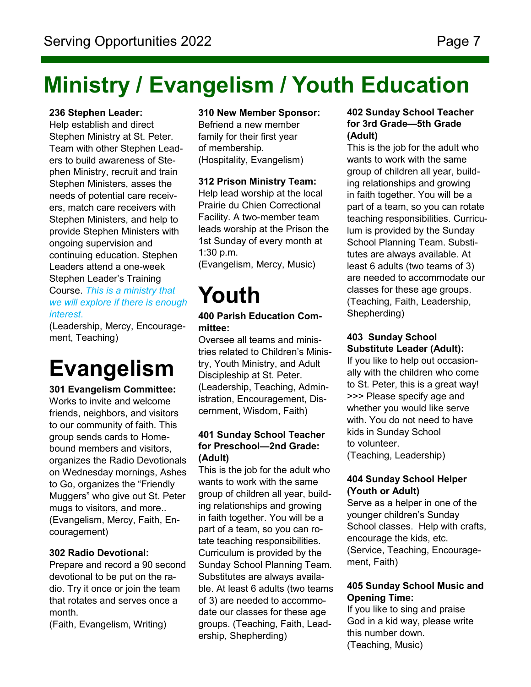### **Ministry / Evangelism / Youth Education**

#### **236 Stephen Leader:**

Help establish and direct Stephen Ministry at St. Peter. Team with other Stephen Leaders to build awareness of Stephen Ministry, recruit and train Stephen Ministers, asses the needs of potential care receivers, match care receivers with Stephen Ministers, and help to provide Stephen Ministers with ongoing supervision and continuing education. Stephen Leaders attend a one-week Stephen Leader's Training Course. *This is a ministry that we will explore if there is enough interest*.

(Leadership, Mercy, Encouragement, Teaching)

### **Evangelism**

**301 Evangelism Committee:**  Works to invite and welcome friends, neighbors, and visitors to our community of faith. This group sends cards to Homebound members and visitors, organizes the Radio Devotionals on Wednesday mornings, Ashes to Go, organizes the "Friendly Muggers" who give out St. Peter mugs to visitors, and more.. (Evangelism, Mercy, Faith, Encouragement)

#### **302 Radio Devotional:**

Prepare and record a 90 second devotional to be put on the radio. Try it once or join the team that rotates and serves once a month.

(Faith, Evangelism, Writing)

#### **310 New Member Sponsor:**

Befriend a new member family for their first year of membership. (Hospitality, Evangelism)

#### **312 Prison Ministry Team:**

Help lead worship at the local Prairie du Chien Correctional Facility. A two-member team leads worship at the Prison the 1st Sunday of every month at 1:30 p.m.

(Evangelism, Mercy, Music)

## **Youth**

#### **400 Parish Education Committee:**

Oversee all teams and ministries related to Children's Ministry, Youth Ministry, and Adult Discipleship at St. Peter. (Leadership, Teaching, Administration, Encouragement, Discernment, Wisdom, Faith)

#### **401 Sunday School Teacher for Preschool—2nd Grade: (Adult)**

This is the job for the adult who wants to work with the same group of children all year, building relationships and growing in faith together. You will be a part of a team, so you can rotate teaching responsibilities. Curriculum is provided by the Sunday School Planning Team. Substitutes are always available. At least 6 adults (two teams of 3) are needed to accommodate our classes for these age groups. (Teaching, Faith, Leadership, Shepherding)

#### **402 Sunday School Teacher for 3rd Grade—5th Grade (Adult)**

This is the job for the adult who wants to work with the same group of children all year, building relationships and growing in faith together. You will be a part of a team, so you can rotate teaching responsibilities. Curriculum is provided by the Sunday School Planning Team. Substitutes are always available. At least 6 adults (two teams of 3) are needed to accommodate our classes for these age groups. (Teaching, Faith, Leadership, Shepherding)

#### **403 Sunday School Substitute Leader (Adult):**

If you like to help out occasionally with the children who come to St. Peter, this is a great way! >>> Please specify age and whether you would like serve with. You do not need to have kids in Sunday School to volunteer. (Teaching, Leadership)

#### **404 Sunday School Helper (Youth or Adult)**

Serve as a helper in one of the younger children's Sunday School classes. Help with crafts, encourage the kids, etc. (Service, Teaching, Encouragement, Faith)

#### **405 Sunday School Music and Opening Time:**

If you like to sing and praise God in a kid way, please write this number down. (Teaching, Music)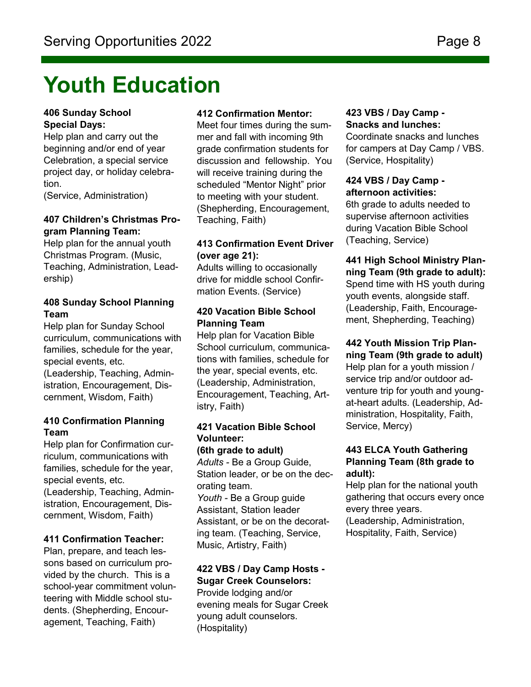### **Youth Education**

#### **406 Sunday School Special Days:**

Help plan and carry out the beginning and/or end of year Celebration, a special service project day, or holiday celebration.

(Service, Administration)

#### **407 Children's Christmas Program Planning Team:**

Help plan for the annual youth Christmas Program. (Music, Teaching, Administration, Leadership)

#### **408 Sunday School Planning Team**

Help plan for Sunday School curriculum, communications with families, schedule for the year, special events, etc. (Leadership, Teaching, Admin-

istration, Encouragement, Discernment, Wisdom, Faith)

#### **410 Confirmation Planning Team**

Help plan for Confirmation curriculum, communications with families, schedule for the year, special events, etc. (Leadership, Teaching, Administration, Encouragement, Discernment, Wisdom, Faith)

#### **411 Confirmation Teacher:**

Plan, prepare, and teach lessons based on curriculum provided by the church. This is a school-year commitment volunteering with Middle school students. (Shepherding, Encouragement, Teaching, Faith)

#### **412 Confirmation Mentor:**

Meet four times during the summer and fall with incoming 9th grade confirmation students for discussion and fellowship. You will receive training during the scheduled "Mentor Night" prior to meeting with your student. (Shepherding, Encouragement, Teaching, Faith)

#### **413 Confirmation Event Driver (over age 21):**

Adults willing to occasionally drive for middle school Confirmation Events. (Service)

#### **420 Vacation Bible School Planning Team**

Help plan for Vacation Bible School curriculum, communications with families, schedule for the year, special events, etc. (Leadership, Administration, Encouragement, Teaching, Artistry, Faith)

#### **421 Vacation Bible School Volunteer:**

**(6th grade to adult)**  *Adults -* Be a Group Guide, Station leader, or be on the decorating team. *Youth -* Be a Group guide Assistant, Station leader Assistant, or be on the decorating team. (Teaching, Service, Music, Artistry, Faith)

#### **422 VBS / Day Camp Hosts - Sugar Creek Counselors:**

Provide lodging and/or evening meals for Sugar Creek young adult counselors. (Hospitality)

#### **423 VBS / Day Camp - Snacks and lunches:**

Coordinate snacks and lunches for campers at Day Camp / VBS. (Service, Hospitality)

#### **424 VBS / Day Camp afternoon activities:**

6th grade to adults needed to supervise afternoon activities during Vacation Bible School (Teaching, Service)

#### **441 High School Ministry Planning Team (9th grade to adult):** Spend time with HS youth during youth events, alongside staff. (Leadership, Faith, Encouragement, Shepherding, Teaching)

#### **442 Youth Mission Trip Plan-**

**ning Team (9th grade to adult)** Help plan for a youth mission / service trip and/or outdoor adventure trip for youth and youngat-heart adults. (Leadership, Administration, Hospitality, Faith, Service, Mercy)

#### **443 ELCA Youth Gathering Planning Team (8th grade to adult):**

Help plan for the national youth gathering that occurs every once every three years.

(Leadership, Administration, Hospitality, Faith, Service)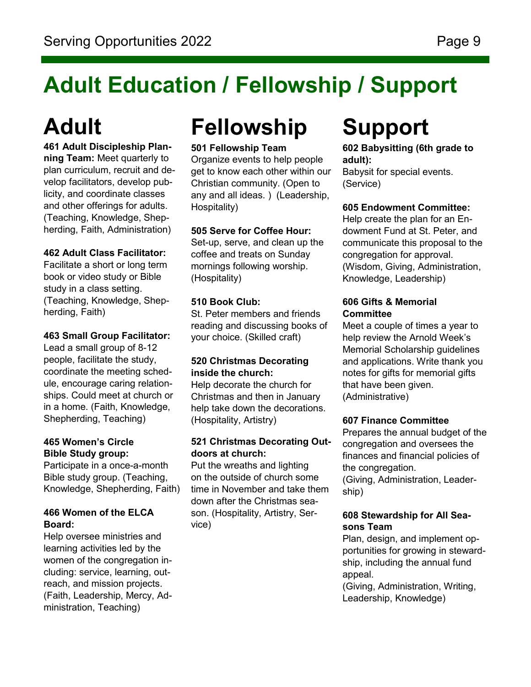# **Adult Education / Fellowship / Support**

# **Adult**

#### **461 Adult Discipleship Planning Team:** Meet quarterly to plan curriculum, recruit and develop facilitators, develop publicity, and coordinate classes and other offerings for adults. (Teaching, Knowledge, Shepherding, Faith, Administration)

#### **462 Adult Class Facilitator:**

Facilitate a short or long term book or video study or Bible study in a class setting. (Teaching, Knowledge, Shepherding, Faith)

#### **463 Small Group Facilitator:**

Lead a small group of 8-12 people, facilitate the study, coordinate the meeting schedule, encourage caring relationships. Could meet at church or in a home. (Faith, Knowledge, Shepherding, Teaching)

#### **465 Women's Circle Bible Study group:**

Participate in a once-a-month Bible study group. (Teaching, Knowledge, Shepherding, Faith)

#### **466 Women of the ELCA Board:**

Help oversee ministries and learning activities led by the women of the congregation including: service, learning, outreach, and mission projects. (Faith, Leadership, Mercy, Administration, Teaching)

# **Fellowship**

#### **501 Fellowship Team**

Organize events to help people get to know each other within our Christian community. (Open to any and all ideas. ) (Leadership, Hospitality)

#### **505 Serve for Coffee Hour:**

Set-up, serve, and clean up the coffee and treats on Sunday mornings following worship. (Hospitality)

#### **510 Book Club:**

St. Peter members and friends reading and discussing books of your choice. (Skilled craft)

#### **520 Christmas Decorating inside the church:**

Help decorate the church for Christmas and then in January help take down the decorations. (Hospitality, Artistry)

#### **521 Christmas Decorating Outdoors at church:**

Put the wreaths and lighting on the outside of church some time in November and take them down after the Christmas season. (Hospitality, Artistry, Service)

### **Support**

**602 Babysitting (6th grade to adult):** 

Babysit for special events. (Service)

#### **605 Endowment Committee:**

Help create the plan for an Endowment Fund at St. Peter, and communicate this proposal to the congregation for approval. (Wisdom, Giving, Administration, Knowledge, Leadership)

#### **606 Gifts & Memorial Committee**

Meet a couple of times a year to help review the Arnold Week's Memorial Scholarship guidelines and applications. Write thank you notes for gifts for memorial gifts that have been given. (Administrative)

#### **607 Finance Committee**

Prepares the annual budget of the congregation and oversees the finances and financial policies of the congregation. (Giving, Administration, Leadership)

#### **608 Stewardship for All Seasons Team**

Plan, design, and implement opportunities for growing in stewardship, including the annual fund appeal.

(Giving, Administration, Writing, Leadership, Knowledge)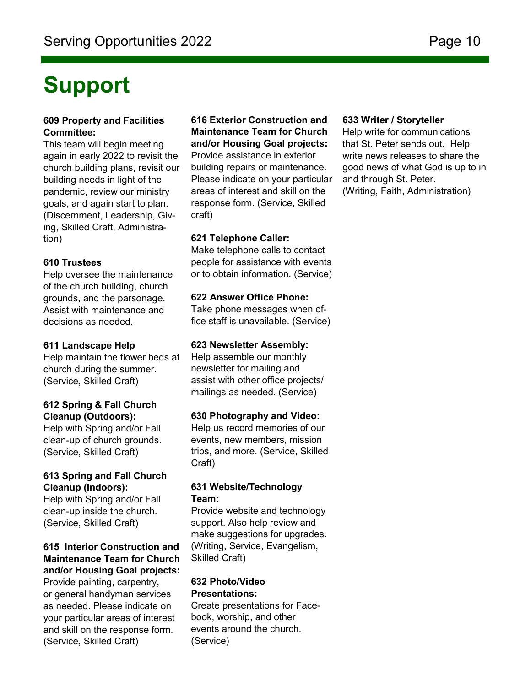### **Support**

#### **609 Property and Facilities Committee:**

This team will begin meeting again in early 2022 to revisit the church building plans, revisit our building needs in light of the pandemic, review our ministry goals, and again start to plan. (Discernment, Leadership, Giving, Skilled Craft, Administration)

#### **610 Trustees**

Help oversee the maintenance of the church building, church grounds, and the parsonage. Assist with maintenance and decisions as needed.

#### **611 Landscape Help**

Help maintain the flower beds at church during the summer. (Service, Skilled Craft)

#### **612 Spring & Fall Church Cleanup (Outdoors):**

Help with Spring and/or Fall clean-up of church grounds. (Service, Skilled Craft)

#### **613 Spring and Fall Church Cleanup (Indoors):**

Help with Spring and/or Fall clean-up inside the church. (Service, Skilled Craft)

### **615 Interior Construction and Maintenance Team for Church and/or Housing Goal projects:**

Provide painting, carpentry, or general handyman services as needed. Please indicate on your particular areas of interest and skill on the response form. (Service, Skilled Craft)

**616 Exterior Construction and Maintenance Team for Church and/or Housing Goal projects:**

Provide assistance in exterior building repairs or maintenance. Please indicate on your particular areas of interest and skill on the response form. (Service, Skilled craft)

#### **621 Telephone Caller:**

Make telephone calls to contact people for assistance with events or to obtain information. (Service)

#### **622 Answer Office Phone:**

Take phone messages when office staff is unavailable. (Service)

#### **623 Newsletter Assembly:**

Help assemble our monthly newsletter for mailing and assist with other office projects/ mailings as needed. (Service)

#### **630 Photography and Video:**

Help us record memories of our events, new members, mission trips, and more. (Service, Skilled Craft)

#### **631 Website/Technology Team:**

Provide website and technology support. Also help review and make suggestions for upgrades. (Writing, Service, Evangelism, Skilled Craft)

#### **632 Photo/Video Presentations:**

Create presentations for Facebook, worship, and other events around the church. (Service)

#### **633 Writer / Storyteller**

Help write for communications that St. Peter sends out. Help write news releases to share the good news of what God is up to in and through St. Peter. (Writing, Faith, Administration)